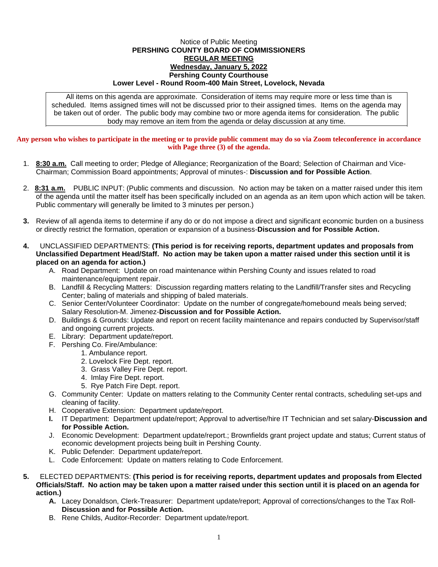## Notice of Public Meeting **PERSHING COUNTY BOARD OF COMMISSIONERS REGULAR MEETING Wednesday, January 5, 2022 Pershing County Courthouse Lower Level - Round Room-400 Main Street, Lovelock, Nevada**

All items on this agenda are approximate. Consideration of items may require more or less time than is scheduled. Items assigned times will not be discussed prior to their assigned times. Items on the agenda may be taken out of order. The public body may combine two or more agenda items for consideration. The public body may remove an item from the agenda or delay discussion at any time.

## **Any person who wishes to participate in the meeting or to provide public comment may do so via Zoom teleconference in accordance with Page three (3) of the agenda.**

- 1. **8:30 a.m.** Call meeting to order; Pledge of Allegiance; Reorganization of the Board; Selection of Chairman and Vice-Chairman; Commission Board appointments; Approval of minutes-: **Discussion and for Possible Action**.
- 2. **8:31 a.m.** PUBLIC INPUT: (Public comments and discussion. No action may be taken on a matter raised under this item of the agenda until the matter itself has been specifically included on an agenda as an item upon which action will be taken. Public commentary will generally be limited to 3 minutes per person.)
- **3.** Review of all agenda items to determine if any do or do not impose a direct and significant economic burden on a business or directly restrict the formation, operation or expansion of a business-**Discussion and for Possible Action.**
- **4.** UNCLASSIFIED DEPARTMENTS: **(This period is for receiving reports, department updates and proposals from Unclassified Department Head/Staff. No action may be taken upon a matter raised under this section until it is placed on an agenda for action.)**
	- A. Road Department: Update on road maintenance within Pershing County and issues related to road maintenance/equipment repair.
	- B. Landfill & Recycling Matters: Discussion regarding matters relating to the Landfill/Transfer sites and Recycling Center; baling of materials and shipping of baled materials.
	- C. Senior Center/Volunteer Coordinator: Update on the number of congregate/homebound meals being served; Salary Resolution-M. Jimenez-**Discussion and for Possible Action.**
	- D. Buildings & Grounds: Update and report on recent facility maintenance and repairs conducted by Supervisor/staff and ongoing current projects.
	- E. Library: Department update/report.
	- F. Pershing Co. Fire/Ambulance:
		- 1. Ambulance report.
		- 2. Lovelock Fire Dept. report.
		- 3. Grass Valley Fire Dept. report.
		- 4. Imlay Fire Dept. report.
		- 5. Rye Patch Fire Dept. report.
	- G. Community Center: Update on matters relating to the Community Center rental contracts, scheduling set-ups and cleaning of facility.
	- H. Cooperative Extension: Department update/report.
	- **I.** IT Department: Department update/report; Approval to advertise/hire IT Technician and set salary-**Discussion and for Possible Action.**
	- J. Economic Development: Department update/report.; Brownfields grant project update and status; Current status of economic development projects being built in Pershing County.
	- K. Public Defender: Department update/report.
	- L. Code Enforcement: Update on matters relating to Code Enforcement.
- **5.** ELECTED DEPARTMENTS: **(This period is for receiving reports, department updates and proposals from Elected Officials/Staff. No action may be taken upon a matter raised under this section until it is placed on an agenda for action.)**
	- **A.** Lacey Donaldson, Clerk-Treasurer: Department update/report; Approval of corrections/changes to the Tax Roll-**Discussion and for Possible Action.**
	- B. Rene Childs, Auditor-Recorder: Department update/report.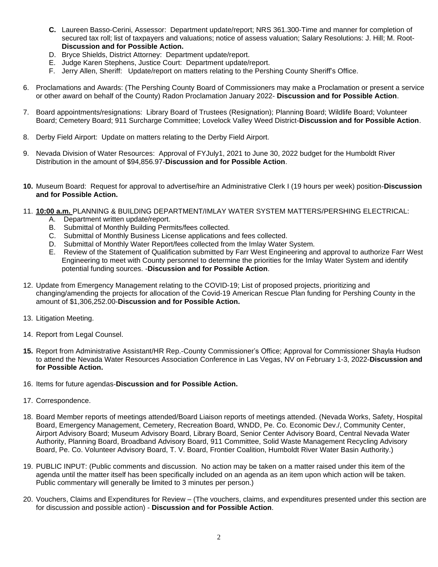- **C.** Laureen Basso-Cerini, Assessor: Department update/report; NRS 361.300-Time and manner for completion of secured tax roll; list of taxpayers and valuations; notice of assess valuation; Salary Resolutions: J. Hill; M. Root-**Discussion and for Possible Action.**
- D. Bryce Shields, District Attorney: Department update/report.
- E. Judge Karen Stephens, Justice Court: Department update/report.
- F. Jerry Allen, Sheriff: Update/report on matters relating to the Pershing County Sheriff's Office.
- 6. Proclamations and Awards: (The Pershing County Board of Commissioners may make a Proclamation or present a service or other award on behalf of the County) Radon Proclamation January 2022- **Discussion and for Possible Action**.
- 7. Board appointments/resignations: Library Board of Trustees (Resignation); Planning Board; Wildlife Board; Volunteer Board; Cemetery Board; 911 Surcharge Committee; Lovelock Valley Weed District-**Discussion and for Possible Action**.
- 8. Derby Field Airport: Update on matters relating to the Derby Field Airport.
- 9. Nevada Division of Water Resources: Approval of FYJuly1, 2021 to June 30, 2022 budget for the Humboldt River Distribution in the amount of \$94,856.97-**Discussion and for Possible Action**.
- **10.** Museum Board: Request for approval to advertise/hire an Administrative Clerk I (19 hours per week) position-**Discussion and for Possible Action.**
- 11. **10:00 a.m.** PLANNING & BUILDING DEPARTMENT/IMLAY WATER SYSTEM MATTERS/PERSHING ELECTRICAL:
	- A. Department written update/report.
	- B. Submittal of Monthly Building Permits/fees collected.
	- C. Submittal of Monthly Business License applications and fees collected.
	- D. Submittal of Monthly Water Report/fees collected from the Imlay Water System.
	- E. Review of the Statement of Qualification submitted by Farr West Engineering and approval to authorize Farr West Engineering to meet with County personnel to determine the priorities for the Imlay Water System and identify potential funding sources. -**Discussion and for Possible Action**.
- 12. Update from Emergency Management relating to the COVID-19; List of proposed projects, prioritizing and changing/amending the projects for allocation of the Covid-19 American Rescue Plan funding for Pershing County in the amount of \$1,306,252.00-**Discussion and for Possible Action.**
- 13. Litigation Meeting.
- 14. Report from Legal Counsel.
- **15.** Report from Administrative Assistant/HR Rep.-County Commissioner's Office; Approval for Commissioner Shayla Hudson to attend the Nevada Water Resources Association Conference in Las Vegas, NV on February 1-3, 2022-**Discussion and for Possible Action.**
- 16. Items for future agendas-**Discussion and for Possible Action.**
- 17. Correspondence.
- 18. Board Member reports of meetings attended/Board Liaison reports of meetings attended. (Nevada Works, Safety, Hospital Board, Emergency Management, Cemetery, Recreation Board, WNDD, Pe. Co. Economic Dev./, Community Center, Airport Advisory Board; Museum Advisory Board, Library Board, Senior Center Advisory Board, Central Nevada Water Authority, Planning Board, Broadband Advisory Board, 911 Committee, Solid Waste Management Recycling Advisory Board, Pe. Co. Volunteer Advisory Board, T. V. Board, Frontier Coalition, Humboldt River Water Basin Authority.)
- 19. PUBLIC INPUT: (Public comments and discussion. No action may be taken on a matter raised under this item of the agenda until the matter itself has been specifically included on an agenda as an item upon which action will be taken. Public commentary will generally be limited to 3 minutes per person.)
- 20. Vouchers, Claims and Expenditures for Review (The vouchers, claims, and expenditures presented under this section are for discussion and possible action) - **Discussion and for Possible Action**.